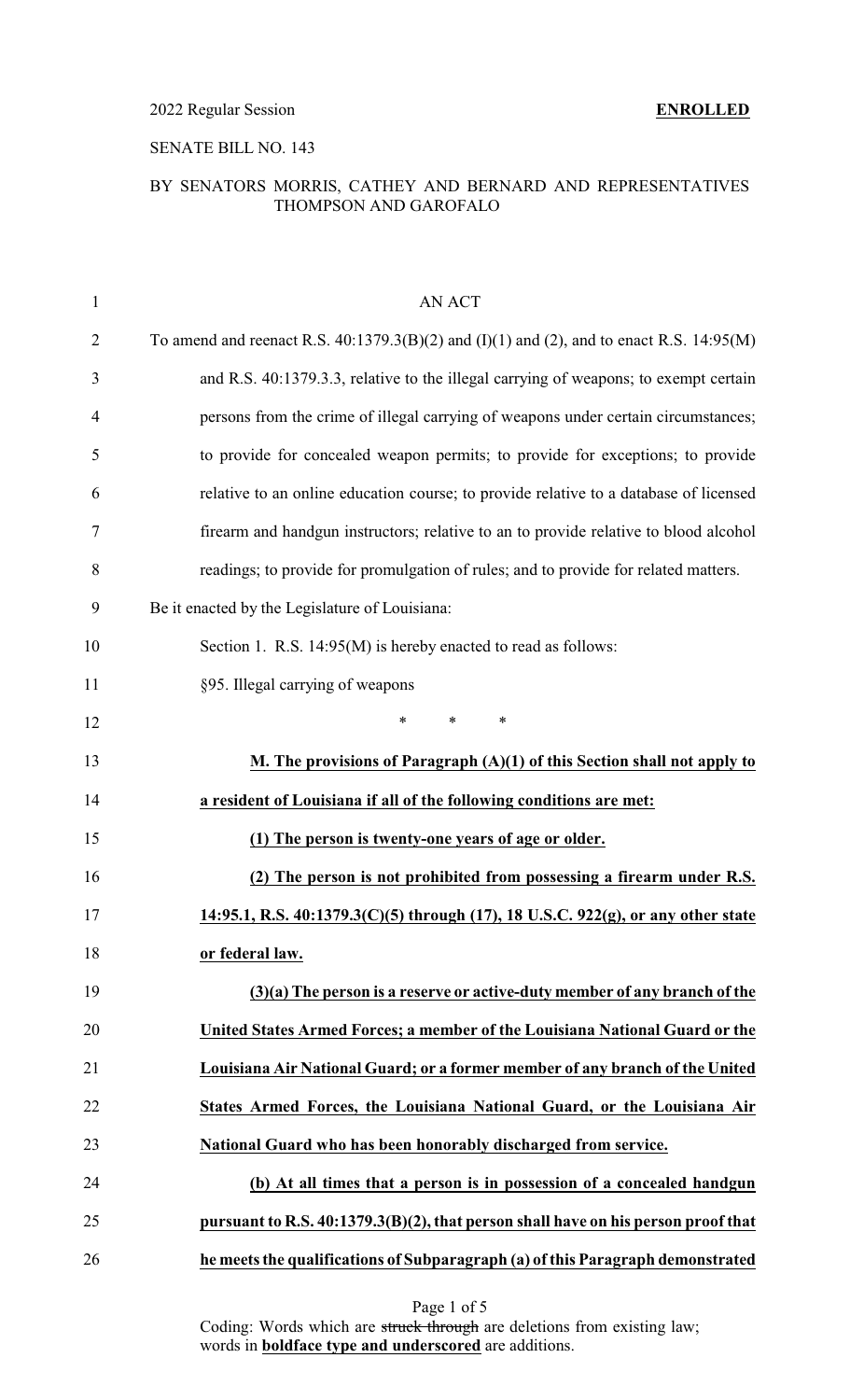2022 Regular Session **ENROLLED**

# SENATE BILL NO. 143

# BY SENATORS MORRIS, CATHEY AND BERNARD AND REPRESENTATIVES THOMPSON AND GAROFALO

| 1              | <b>AN ACT</b>                                                                                   |
|----------------|-------------------------------------------------------------------------------------------------|
| $\overline{2}$ | To amend and reenact R.S. $40:1379.3(B)(2)$ and $(I)(1)$ and $(2)$ , and to enact R.S. 14:95(M) |
| 3              | and R.S. 40:1379.3.3, relative to the illegal carrying of weapons; to exempt certain            |
| 4              | persons from the crime of illegal carrying of weapons under certain circumstances;              |
| 5              | to provide for concealed weapon permits; to provide for exceptions; to provide                  |
| 6              | relative to an online education course; to provide relative to a database of licensed           |
| 7              | firearm and handgun instructors; relative to an to provide relative to blood alcohol            |
| 8              | readings; to provide for promulgation of rules; and to provide for related matters.             |
| 9              | Be it enacted by the Legislature of Louisiana:                                                  |
| 10             | Section 1. R.S. 14:95(M) is hereby enacted to read as follows:                                  |
| 11             | §95. Illegal carrying of weapons                                                                |
| 12             | $\ast$<br>$\ast$<br>$\ast$                                                                      |
| 13             | <b>M.</b> The provisions of Paragraph $(A)(1)$ of this Section shall not apply to               |
|                |                                                                                                 |
| 14             | a resident of Louisiana if all of the following conditions are met:                             |
| 15             | (1) The person is twenty-one years of age or older.                                             |
| 16             | (2) The person is not prohibited from possessing a firearm under R.S.                           |
| 17             | 14:95.1, R.S. 40:1379.3(C)(5) through (17), 18 U.S.C. 922(g), or any other state                |
| 18             | or federal law.                                                                                 |
| 19             | $(3)(a)$ The person is a reserve or active-duty member of any branch of the                     |
| 20             | United States Armed Forces; a member of the Louisiana National Guard or the                     |
| 21             | Louisiana Air National Guard; or a former member of any branch of the United                    |
| 22             | States Armed Forces, the Louisiana National Guard, or the Louisiana Air                         |
| 23             | National Guard who has been honorably discharged from service.                                  |
| 24             | (b) At all times that a person is in possession of a concealed handgun                          |
| 25             | pursuant to R.S. 40:1379.3(B)(2), that person shall have on his person proof that               |

Page 1 of 5

Coding: Words which are struck through are deletions from existing law; words in **boldface type and underscored** are additions.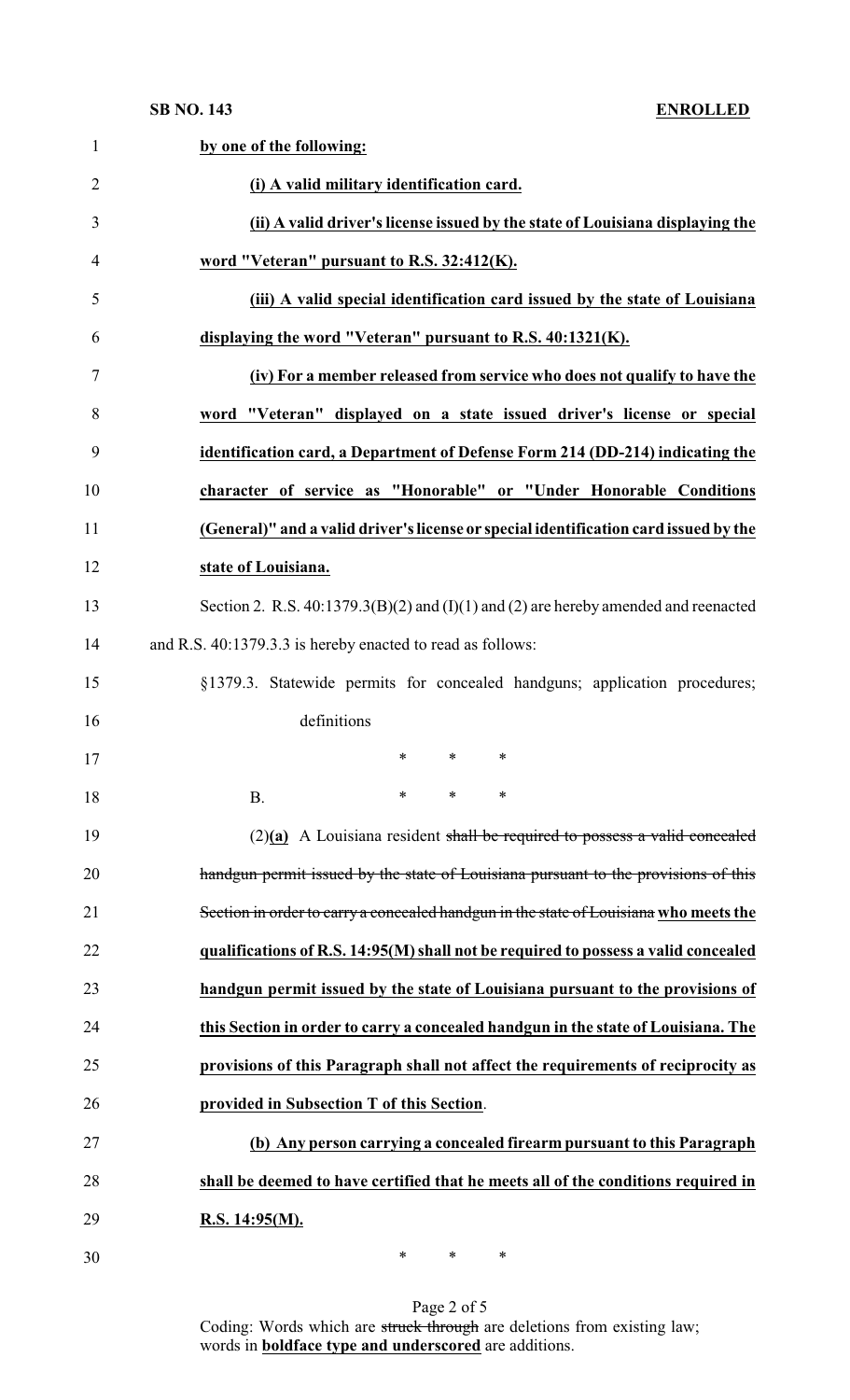| $\mathbf{1}$   | by one of the following:                                                                  |
|----------------|-------------------------------------------------------------------------------------------|
| $\overline{2}$ | (i) A valid military identification card.                                                 |
| 3              | (ii) A valid driver's license issued by the state of Louisiana displaying the             |
| 4              | word "Veteran" pursuant to R.S. 32:412(K).                                                |
| 5              | (iii) A valid special identification card issued by the state of Louisiana                |
| 6              | displaying the word "Veteran" pursuant to R.S. 40:1321(K).                                |
| 7              | (iv) For a member released from service who does not qualify to have the                  |
| 8              | word "Veteran" displayed on a state issued driver's license or special                    |
| 9              | identification card, a Department of Defense Form 214 (DD-214) indicating the             |
| 10             | character of service as "Honorable" or "Under Honorable Conditions                        |
| 11             | (General)" and a valid driver's license or special identification card issued by the      |
| 12             | state of Louisiana.                                                                       |
| 13             | Section 2. R.S. $40:1379.3(B)(2)$ and $(I)(1)$ and $(2)$ are hereby amended and reenacted |
| 14             | and R.S. 40:1379.3.3 is hereby enacted to read as follows:                                |
| 15             | §1379.3. Statewide permits for concealed handguns; application procedures;                |
| 16             | definitions                                                                               |
| 17             | $\ast$<br>$\ast$<br>$\ast$                                                                |
| 18             | $\ast$<br>$\ast$<br>*<br><b>B.</b>                                                        |
| 19             | $(2)(a)$ A Louisiana resident shall be required to possess a valid concealed              |
| 20             | handgun permit issued by the state of Louisiana pursuant to the provisions of this        |
| 21             | Section in order to carry a concealed handgun in the state of Louisiana who meets the     |
| 22             | qualifications of R.S. 14:95(M) shall not be required to possess a valid concealed        |
| 23             | handgun permit issued by the state of Louisiana pursuant to the provisions of             |
| 24             | this Section in order to carry a concealed handgun in the state of Louisiana. The         |
| 25             | provisions of this Paragraph shall not affect the requirements of reciprocity as          |
| 26             | provided in Subsection T of this Section.                                                 |
| 27             | (b) Any person carrying a concealed firearm pursuant to this Paragraph                    |
| 28             | shall be deemed to have certified that he meets all of the conditions required in         |
| 29             | R.S. $14:95(M)$ .                                                                         |
| 30             | $\ast$<br>$\ast$<br>$\ast$                                                                |

Page 2 of 5 Coding: Words which are struck through are deletions from existing law; words in **boldface type and underscored** are additions.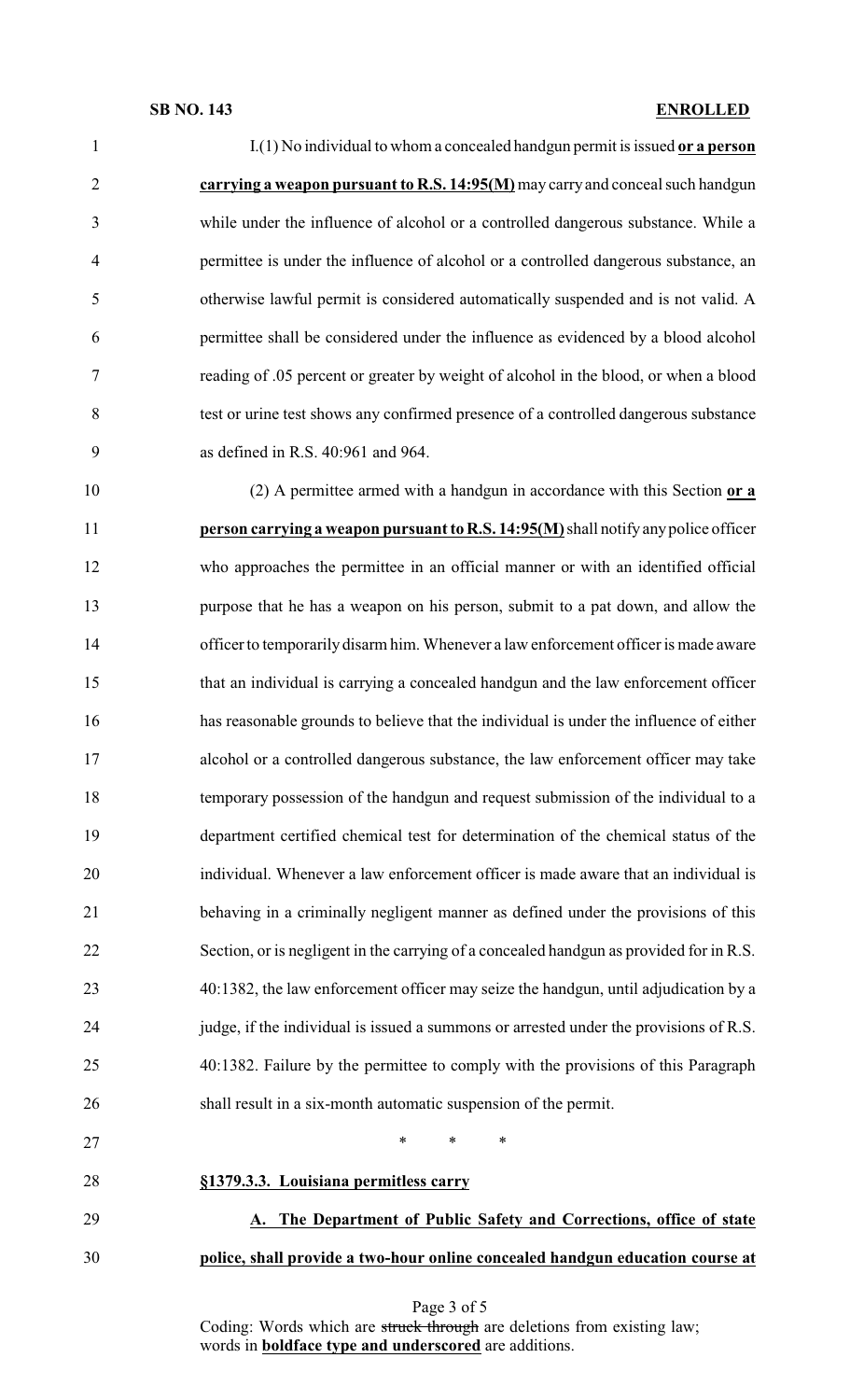# **SB NO. 143 ENROLLED**

| $\mathbf{1}$   | $I(1)$ No individual to whom a concealed handgun permit is issued or a person           |
|----------------|-----------------------------------------------------------------------------------------|
| $\overline{2}$ | carrying a weapon pursuant to R.S. 14:95(M) may carry and conceal such handgun          |
| 3              | while under the influence of alcohol or a controlled dangerous substance. While a       |
| $\overline{4}$ | permittee is under the influence of alcohol or a controlled dangerous substance, an     |
| 5              | otherwise lawful permit is considered automatically suspended and is not valid. A       |
| 6              | permittee shall be considered under the influence as evidenced by a blood alcohol       |
| 7              | reading of .05 percent or greater by weight of alcohol in the blood, or when a blood    |
| 8              | test or urine test shows any confirmed presence of a controlled dangerous substance     |
| 9              | as defined in R.S. 40:961 and 964.                                                      |
| 10             | (2) A permittee armed with a handgun in accordance with this Section or a               |
| 11             | person carrying a weapon pursuant to R.S. 14:95(M) shall notify any police officer      |
| 12             | who approaches the permittee in an official manner or with an identified official       |
| 13             | purpose that he has a weapon on his person, submit to a pat down, and allow the         |
| 14             | officer to temporarily disarm him. Whenever a law enforcement officer is made aware     |
| 15             | that an individual is carrying a concealed handgun and the law enforcement officer      |
| 16             | has reasonable grounds to believe that the individual is under the influence of either  |
| 17             | alcohol or a controlled dangerous substance, the law enforcement officer may take       |
| 18             | temporary possession of the handgun and request submission of the individual to a       |
| 19             | department certified chemical test for determination of the chemical status of the      |
| 20             | individual. Whenever a law enforcement officer is made aware that an individual is      |
| 21             | behaving in a criminally negligent manner as defined under the provisions of this       |
| 22             | Section, or is negligent in the carrying of a concealed handgun as provided for in R.S. |
| 23             | 40:1382, the law enforcement officer may seize the handgun, until adjudication by a     |
| 24             | judge, if the individual is issued a summons or arrested under the provisions of R.S.   |
| 25             | 40:1382. Failure by the permittee to comply with the provisions of this Paragraph       |
| 26             | shall result in a six-month automatic suspension of the permit.                         |
| 27             | ∗<br>$\ast$<br>∗                                                                        |
| 28             | §1379.3.3. Louisiana permitless carry                                                   |
| 29             | The Department of Public Safety and Corrections, office of state                        |

**police, shall provide a two-hour online concealed handgun education course at**

Page 3 of 5

Coding: Words which are struck through are deletions from existing law; words in **boldface type and underscored** are additions.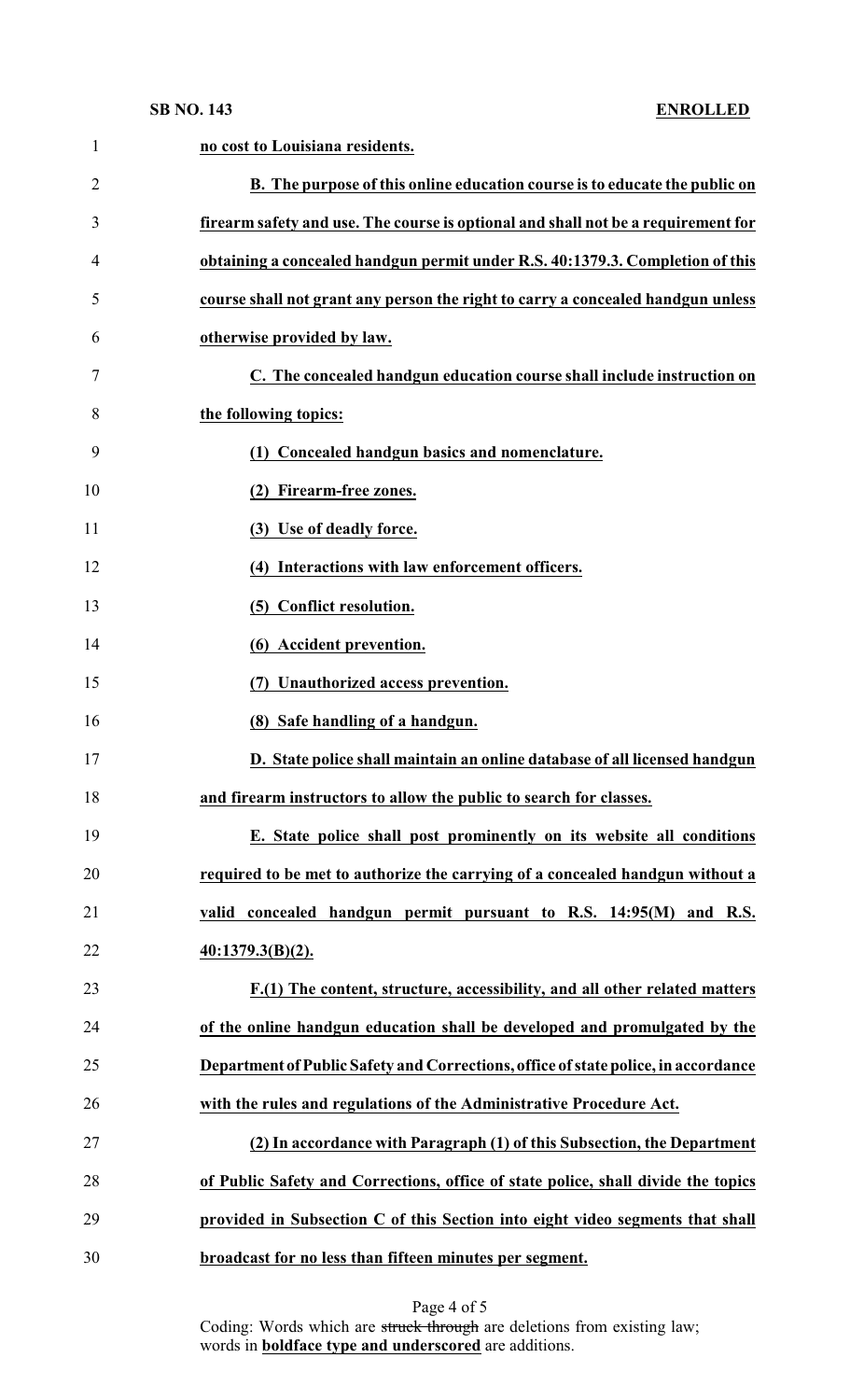### **SB NO. 143**

| $\mathbf{1}$   | no cost to Louisiana residents.                                                    |
|----------------|------------------------------------------------------------------------------------|
| $\overline{2}$ | B. The purpose of this online education course is to educate the public on         |
| 3              | firearm safety and use. The course is optional and shall not be a requirement for  |
| 4              | obtaining a concealed handgun permit under R.S. 40:1379.3. Completion of this      |
| 5              | course shall not grant any person the right to carry a concealed handgun unless    |
| 6              | otherwise provided by law.                                                         |
| 7              | C. The concealed handgun education course shall include instruction on             |
| 8              | the following topics:                                                              |
| 9              | (1) Concealed handgun basics and nomenclature.                                     |
| 10             | (2) Firearm-free zones.                                                            |
| 11             | (3) Use of deadly force.                                                           |
| 12             | (4) Interactions with law enforcement officers.                                    |
| 13             | (5) Conflict resolution.                                                           |
| 14             | (6) Accident prevention.                                                           |
| 15             | (7) Unauthorized access prevention.                                                |
| 16             | (8) Safe handling of a handgun.                                                    |
| 17             | D. State police shall maintain an online database of all licensed handgun          |
| 18             | and firearm instructors to allow the public to search for classes.                 |
| 19             | E. State police shall post prominently on its website all conditions               |
| 20             | required to be met to authorize the carrying of a concealed handgun without a      |
| 21             | valid concealed handgun permit pursuant to R.S. 14:95(M) and R.S.                  |
| 22             | 40:1379.3(B)(2).                                                                   |
| 23             | F.(1) The content, structure, accessibility, and all other related matters         |
| 24             | of the online handgun education shall be developed and promulgated by the          |
| 25             | Department of Public Safety and Corrections, office of state police, in accordance |
| 26             | with the rules and regulations of the Administrative Procedure Act.                |
| 27             | (2) In accordance with Paragraph (1) of this Subsection, the Department            |
| 28             | of Public Safety and Corrections, office of state police, shall divide the topics  |
| 29             | provided in Subsection C of this Section into eight video segments that shall      |
| 30             | broadcast for no less than fifteen minutes per segment.                            |

Page 4 of 5 Coding: Words which are struck through are deletions from existing law; words in **boldface type and underscored** are additions.